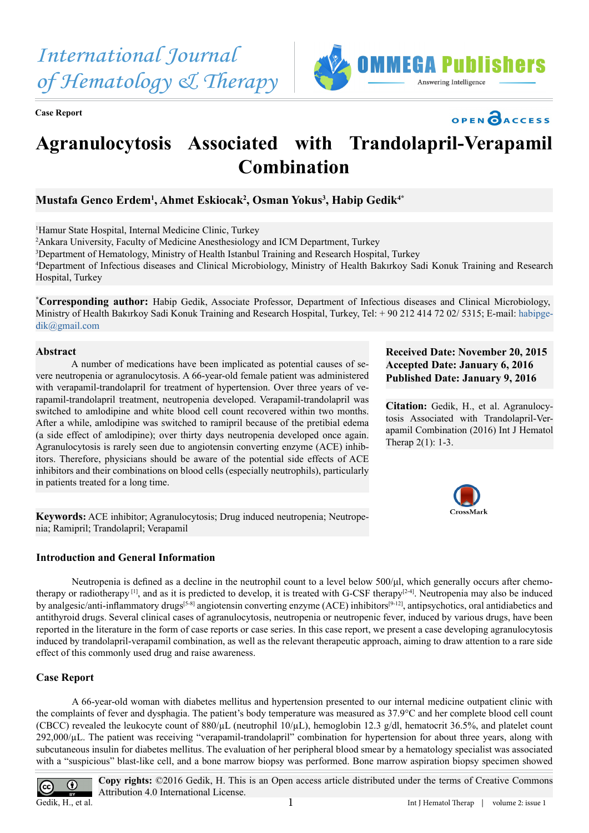*International Journal of Hematology & Therapy*

**Case Report**





# **Agranulocytosis Associated with Trandolapril-Verapamil Combination**

# **Mustafa Genco Erdem1 , Ahmet Eskiocak2 , Osman Yokus3 , Habip Gedik4\***

1 Hamur State Hospital, Internal Medicine Clinic, Turkey

2 Ankara University, Faculty of Medicine Anesthesiology and ICM Department, Turkey

3 Department of Hematology, Ministry of Health Istanbul Training and Research Hospital, Turkey

4 Department of Infectious diseases and Clinical Microbiology, Ministry of Health Bakırkoy Sadi Konuk Training and Research Hospital, Turkey

**\* Corresponding author:** Habip Gedik, Associate Professor, Department of Infectious diseases and Clinical Microbiology, Ministry of Health Bakırkoy Sadi Konuk Training and Research Hospital, Turkey, Tel: + 90 212 414 72 02/ 5315; E-mail: [habipge](mailto:habipgedik%40gmail.com?subject=)[dik@gmail.com](mailto:habipgedik%40gmail.com?subject=)

#### **Abstract**

A number of medications have been implicated as potential causes of severe neutropenia or agranulocytosis. A 66-year-old female patient was administered with verapamil-trandolapril for treatment of hypertension. Over three years of verapamil-trandolapril treatment, neutropenia developed. Verapamil-trandolapril was switched to amlodipine and white blood cell count recovered within two months. After a while, amlodipine was switched to ramipril because of the pretibial edema (a side effect of amlodipine); over thirty days neutropenia developed once again. Agranulocytosis is rarely seen due to angiotensin converting enzyme (ACE) inhibitors. Therefore, physicians should be aware of the potential side effects of ACE inhibitors and their combinations on blood cells (especially neutrophils), particularly in patients treated for a long time.

**Keywords:** ACE inhibitor; Agranulocytosis; Drug induced neutropenia; Neutropenia; Ramipril; Trandolapril; Verapamil

# **Introduction and General Information**

**Received Date: November 20, 2015 Accepted Date: January 6, 2016 Published Date: January 9, 2016**

**Citation:** Gedik, H., et al. Agranulocytosis Associated with Trandolapril-Verapamil Combination (2016) Int J Hematol Therap 2(1): 1-3.



Neutropenia is defined as a decline in the neutrophil count to a level below 500/μl, which generally occurs after chemotherapy or radiotherapy  $[1]$ , and as it is predicted to develop, it is treated with G-CSF therapy  $[2-4]$ . Neutropenia may also be induced by analgesic/anti-inflammatory drugs<sup>[5-8]</sup> angiotensin converting enzyme (ACE) inhibitors<sup>[9-12]</sup>, antipsychotics, oral antidiabetics and antithyroid drugs. Several clinical cases of agranulocytosis, neutropenia or neutropenic fever, induced by various drugs, have been reported in the literature in the form of case reports or case series. In this case report, we present a case developing agranulocytosis induced by trandolapril-verapamil combination, as well as the relevant therapeutic approach, aiming to draw attention to a rare side effect of this commonly used drug and raise awareness.

# **Case Report**

A 66-year-old woman with diabetes mellitus and hypertension presented to our internal medicine outpatient clinic with the complaints of fever and dysphagia. The patient's body temperature was measured as 37.9°C and her complete blood cell count (CBCC) revealed the leukocyte count of  $880/\mu$ L (neutrophil 10/ $\mu$ L), hemoglobin 12.3 g/dl, hematocrit 36.5%, and platelet count 292,000/µL. The patient was receiving "verapamil-trandolapril" combination for hypertension for about three years, along with subcutaneous insulin for diabetes mellitus. The evaluation of her peripheral blood smear by a hematology specialist was associated with a "suspicious" blast-like cell, and a bone marrow biopsy was performed. Bone marrow aspiration biopsy specimen showed



**Copy rights:** ©2016 Gedik, H. This is an Open access article distributed under the terms of Creative Commons Attribution 4.0 International License.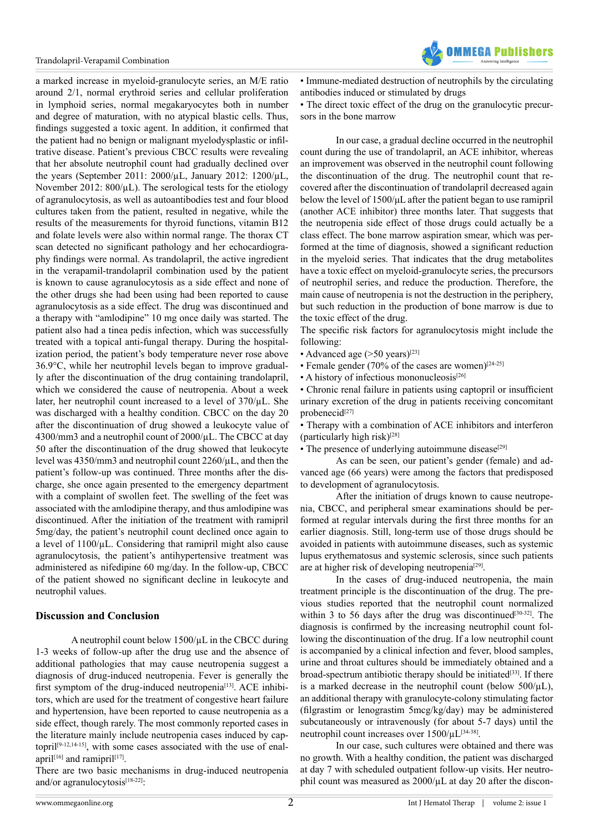

a marked increase in myeloid-granulocyte series, an M/E ratio around 2/1, normal erythroid series and cellular proliferation in lymphoid series, normal megakaryocytes both in number and degree of maturation, with no atypical blastic cells. Thus, findings suggested a toxic agent. In addition, it confirmed that the patient had no benign or malignant myelodysplastic or infiltrative disease. Patient's previous CBCC results were revealing that her absolute neutrophil count had gradually declined over the years (September 2011: 2000/µL, January 2012: 1200/µL, November 2012:  $800/\mu$ . The serological tests for the etiology of agranulocytosis, as well as autoantibodies test and four blood cultures taken from the patient, resulted in negative, while the results of the measurements for thyroid functions, vitamin B12 and folate levels were also within normal range. The thorax CT scan detected no significant pathology and her echocardiography findings were normal. As trandolapril, the active ingredient in the verapamil-trandolapril combination used by the patient is known to cause agranulocytosis as a side effect and none of the other drugs she had been using had been reported to cause agranulocytosis as a side effect. The drug was discontinued and a therapy with "amlodipine" 10 mg once daily was started. The patient also had a tinea pedis infection, which was successfully treated with a topical anti-fungal therapy. During the hospitalization period, the patient's body temperature never rose above 36.9°C, while her neutrophil levels began to improve gradually after the discontinuation of the drug containing trandolapril, which we considered the cause of neutropenia. About a week later, her neutrophil count increased to a level of 370/µL. She was discharged with a healthy condition. CBCC on the day 20 after the discontinuation of drug showed a leukocyte value of 4300/mm3 and a neutrophil count of 2000/µL. The CBCC at day 50 after the discontinuation of the drug showed that leukocyte level was 4350/mm3 and neutrophil count 2260/µL, and then the patient's follow-up was continued. Three months after the discharge, she once again presented to the emergency department with a complaint of swollen feet. The swelling of the feet was associated with the amlodipine therapy, and thus amlodipine was discontinued. After the initiation of the treatment with ramipril 5mg/day, the patient's neutrophil count declined once again to a level of  $1100/\mu$ L. Considering that ramipril might also cause agranulocytosis, the patient's antihypertensive treatment was administered as nifedipine 60 mg/day. In the follow-up, CBCC of the patient showed no significant decline in leukocyte and neutrophil values.

#### **Discussion and Conclusion**

A neutrophil count below 1500/µL in the CBCC during 1-3 weeks of follow-up after the drug use and the absence of additional pathologies that may cause neutropenia suggest a diagnosis of drug-induced neutropenia. Fever is generally the first symptom of the drug-induced neutropenia<sup>[13]</sup>. ACE inhibitors, which are used for the treatment of congestive heart failure and hypertension, have been reported to cause neutropenia as a side effect, though rarely. The most commonly reported cases in the literature mainly include neutropenia cases induced by captopril<sup>[9-12,14-15]</sup>, with some cases associated with the use of enalapril<sup>[16]</sup> and ramipril<sup>[17]</sup>.

There are two basic mechanisms in drug-induced neutropenia and/or agranulocytosis<sup>[18-22]</sup>:

• Immune-mediated destruction of neutrophils by the circulating antibodies induced or stimulated by drugs

• The direct toxic effect of the drug on the granulocytic precursors in the bone marrow

In our case, a gradual decline occurred in the neutrophil count during the use of trandolapril, an ACE inhibitor, whereas an improvement was observed in the neutrophil count following the discontinuation of the drug. The neutrophil count that recovered after the discontinuation of trandolapril decreased again below the level of 1500/μL after the patient began to use ramipril (another ACE inhibitor) three months later. That suggests that the neutropenia side effect of those drugs could actually be a class effect. The bone marrow aspiration smear, which was performed at the time of diagnosis, showed a significant reduction in the myeloid series. That indicates that the drug metabolites have a toxic effect on myeloid-granulocyte series, the precursors of neutrophil series, and reduce the production. Therefore, the main cause of neutropenia is not the destruction in the periphery, but such reduction in the production of bone marrow is due to the toxic effect of the drug.

The specific risk factors for agranulocytosis might include the following:

- Advanced age  $(>50 \text{ years})^{[23]}$
- Female gender (70% of the cases are women) $[24-25]$
- A history of infectious mononucleosis<sup>[26]</sup>

• Chronic renal failure in patients using captopril or insufficient urinary excretion of the drug in patients receiving concomitant probenecid<sup>[27]</sup>

• Therapy with a combination of ACE inhibitors and interferon (particularly high risk) $[28]$ 

• The presence of underlying autoimmune disease<sup>[29]</sup>

As can be seen, our patient's gender (female) and advanced age (66 years) were among the factors that predisposed to development of agranulocytosis.

After the initiation of drugs known to cause neutropenia, CBCC, and peripheral smear examinations should be performed at regular intervals during the first three months for an earlier diagnosis. Still, long-term use of those drugs should be avoided in patients with autoimmune diseases, such as systemic lupus erythematosus and systemic sclerosis, since such patients are at higher risk of developing neutropenia[29].

In the cases of drug-induced neutropenia, the main treatment principle is the discontinuation of the drug. The previous studies reported that the neutrophil count normalized within 3 to 56 days after the drug was discontinued<sup>[30-32]</sup>. The diagnosis is confirmed by the increasing neutrophil count following the discontinuation of the drug. If a low neutrophil count is accompanied by a clinical infection and fever, blood samples, urine and throat cultures should be immediately obtained and a broad-spectrum antibiotic therapy should be initiated $[33]$ . If there is a marked decrease in the neutrophil count (below 500/µL), an additional therapy with granulocyte-colony stimulating factor (filgrastim or lenograstim 5mcg/kg/day) may be administered subcutaneously or intravenously (for about 5-7 days) until the neutrophil count increases over 1500/µL[34-38].

In our case, such cultures were obtained and there was no growth. With a healthy condition, the patient was discharged at day 7 with scheduled outpatient follow-up visits. Her neutrophil count was measured as  $2000/\mu$ L at day 20 after the discon-